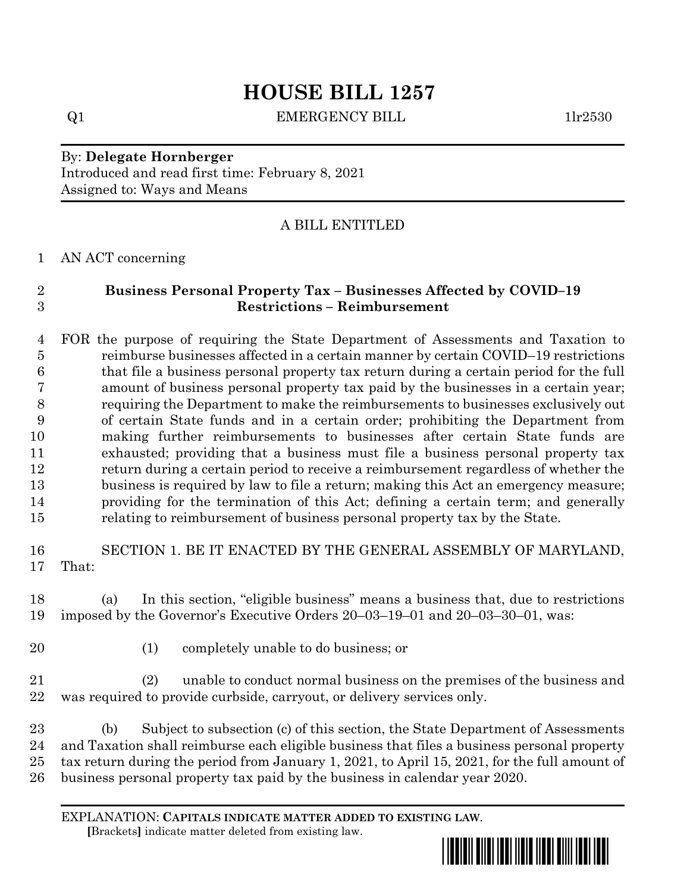## **HOUSE BILL 1257**

 $Q1$  EMERGENCY BILL  $1\text{lr}2530$ 

By: **Delegate Hornberger** Introduced and read first time: February 8, 2021 Assigned to: Ways and Means

## A BILL ENTITLED

AN ACT concerning

## **Business Personal Property Tax – Businesses Affected by COVID–19 Restrictions – Reimbursement**

 FOR the purpose of requiring the State Department of Assessments and Taxation to reimburse businesses affected in a certain manner by certain COVID–19 restrictions that file a business personal property tax return during a certain period for the full amount of business personal property tax paid by the businesses in a certain year; requiring the Department to make the reimbursements to businesses exclusively out of certain State funds and in a certain order; prohibiting the Department from making further reimbursements to businesses after certain State funds are exhausted; providing that a business must file a business personal property tax return during a certain period to receive a reimbursement regardless of whether the business is required by law to file a return; making this Act an emergency measure; providing for the termination of this Act; defining a certain term; and generally relating to reimbursement of business personal property tax by the State.

 SECTION 1. BE IT ENACTED BY THE GENERAL ASSEMBLY OF MARYLAND, That:

 (a) In this section, "eligible business" means a business that, due to restrictions imposed by the Governor's Executive Orders 20–03–19–01 and 20–03–30–01, was:

- 
- (1) completely unable to do business; or

 (2) unable to conduct normal business on the premises of the business and was required to provide curbside, carryout, or delivery services only.

 (b) Subject to subsection (c) of this section, the State Department of Assessments and Taxation shall reimburse each eligible business that files a business personal property tax return during the period from January 1, 2021, to April 15, 2021, for the full amount of business personal property tax paid by the business in calendar year 2020.

EXPLANATION: **CAPITALS INDICATE MATTER ADDED TO EXISTING LAW**.  **[**Brackets**]** indicate matter deleted from existing law.